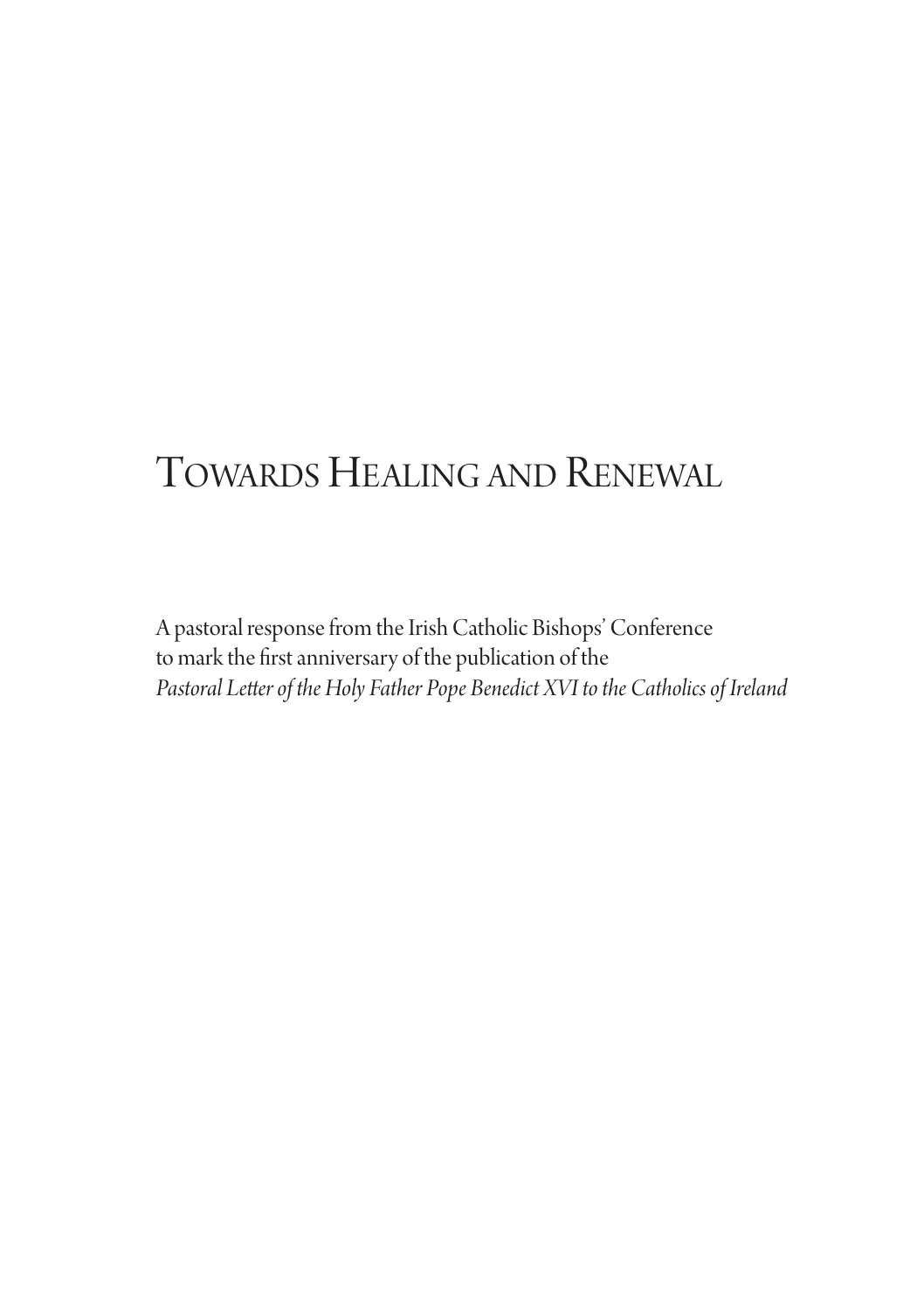## TOWARDS HEALING AND RENEWAL

A pastoral response from the Irish Catholic Bishops' Conference to mark the first anniversary of the publication of the *Pastoral Letterof theHoly Father Pope Benedict XVI tothe Catholicsof Ireland*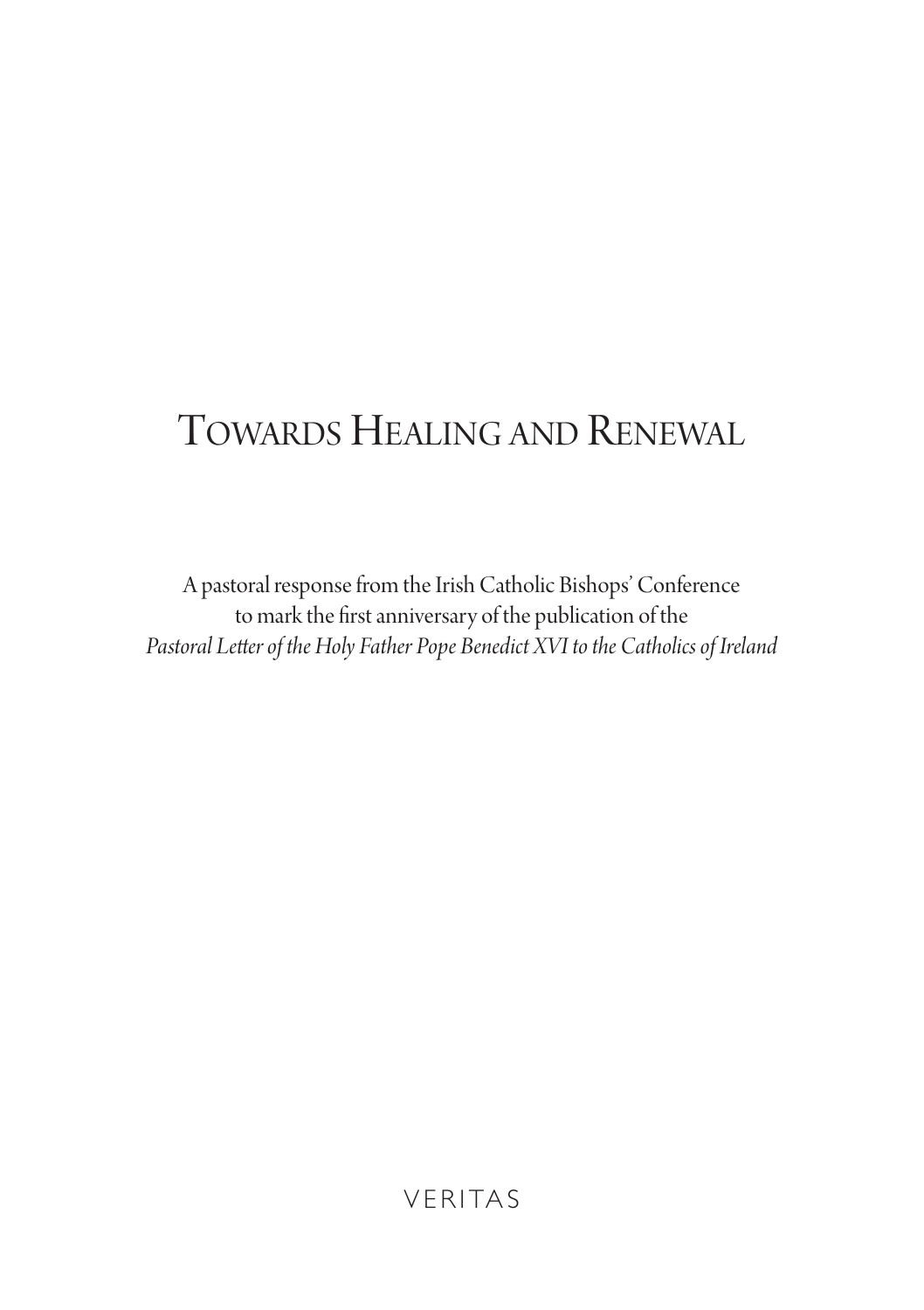# TOWARDS HEALING AND RENEWAL

A pastoral response from the Irish Catholic Bishops' Conference to mark the first anniversary of the publication of the *Pastoral Letterof theHoly Father Pope Benedict XVI tothe Catholicsof Ireland*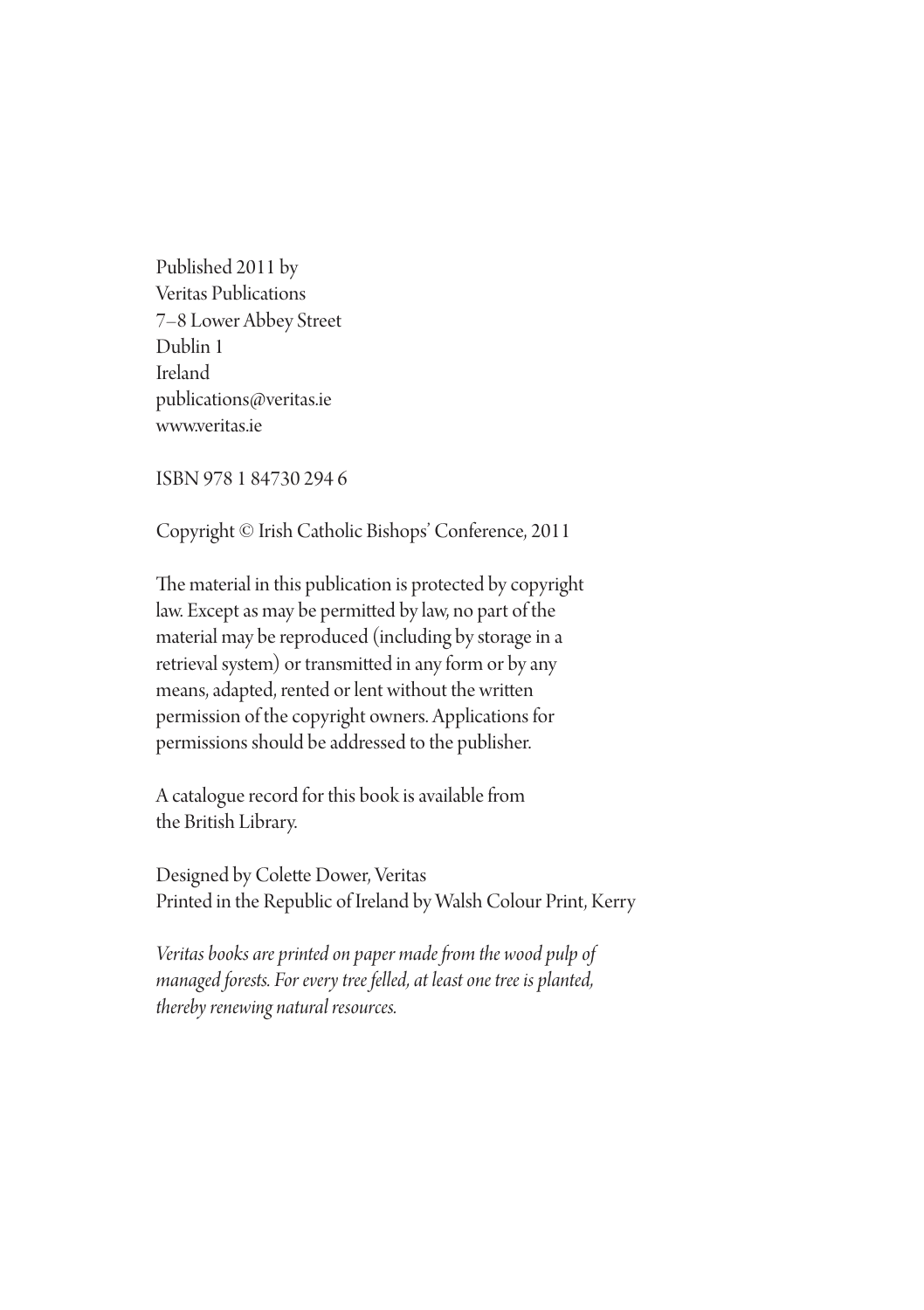Published 2011 by Veritas Publications 7–8 lower abbey street Dublin 1 Ireland publications@veritas.ie www.veritas.ie

isBn 978 1 84730 294 6

Copyright © Irish Catholic Bishops' Conference, 2011

The material in this publication is protected by copyright law. Except as may be permitted by law, no part of the material may be reproduced (including by storage in a retrieval system) or transmitted in any form or by any means, adapted, rented or lent without the written permission of the copyright owners. Applications for permissions should be addressed to the publisher.

A catalogue record for this book is available from the British library.

Designed by Colette Dower, Veritas Printed in the Republic of Ireland by Walsh Colour Print, Kerry

*Veritas books are printed on paper made from the wood pulp of managed forests. For everytree felled, at leastone tree is planted,*  $thereby$  *renewing natural resources.*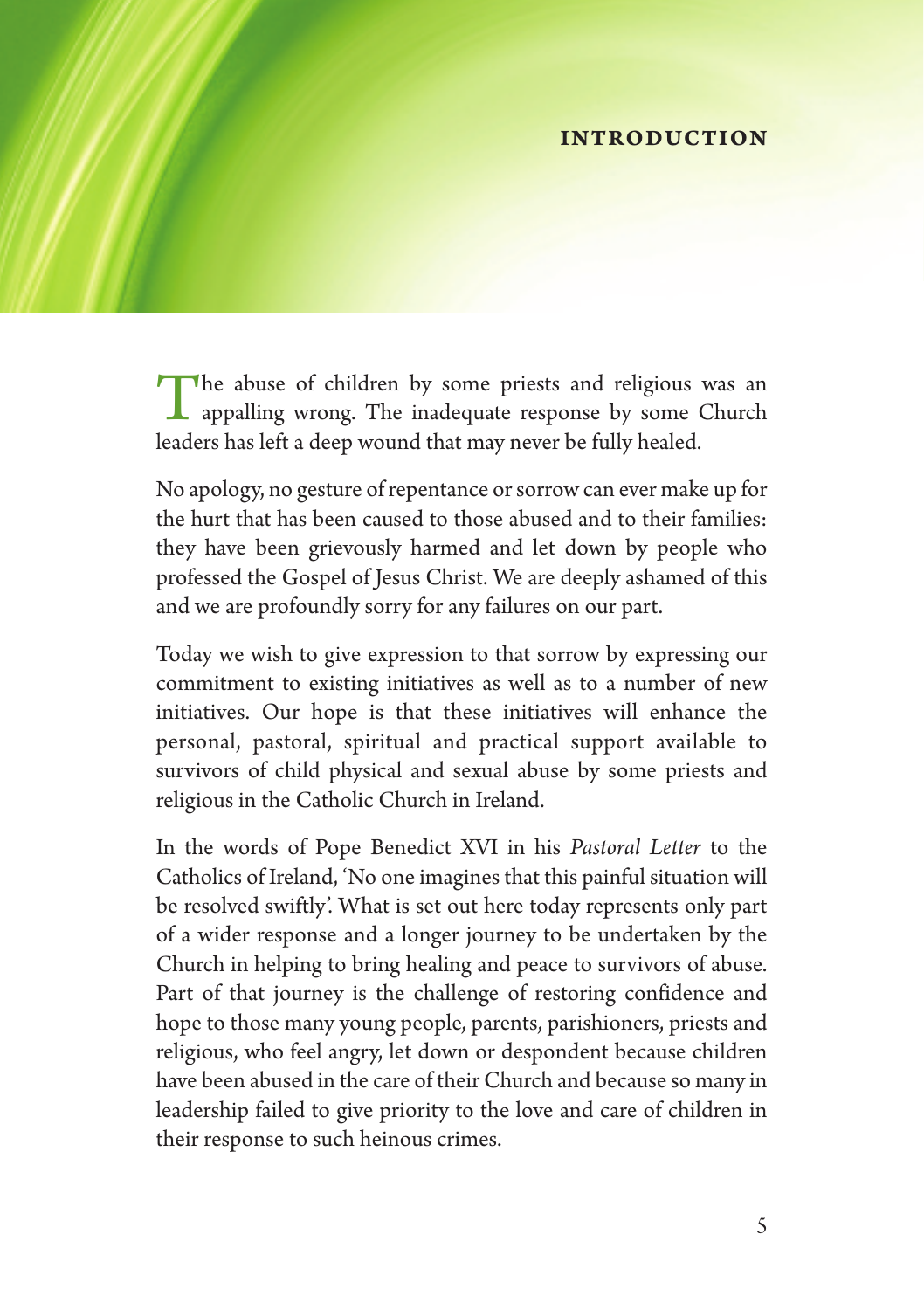#### **INTRODUCTION**

The abuse of children by some priests and religious was an appalling wrong. The inadequate response by some Church leaders has left a deep wound that may never be fully healed.

No apology, no gesture of repentance or sorrow can ever make up for the hurt that has been caused to those abused and to their families: they have been grievously harmed and let down by people who professed the Gospel of Jesus Christ. We are deeply ashamed of this and we are profoundly sorry for any failures on our part.

Today we wish to give expression to that sorrow by expressing our commitment to existing initiatives as well as to a number of new initiatives. Our hope is that these initiatives will enhance the personal, pastoral, spiritual and practical support available to survivors of child physical and sexual abuse by some priests and religious in the Catholic Church in Ireland.

In the words of Pope Benedict XVI in his *Pastoral Letter* to the Catholics of Ireland, 'No one imagines that this painful situation will be resolved swiftly'. What is set out here today represents only part of a wider response and a longer journey to be undertaken by the Church in helping to bring healing and peace to survivors of abuse. Part of that journey is the challenge of restoring confidence and hope to those many young people, parents, parishioners, priests and religious, who feel angry, let down or despondent because children have been abused in the care of their Church and because so many in leadership failed to give priority to the love and care of children in their response to such heinous crimes.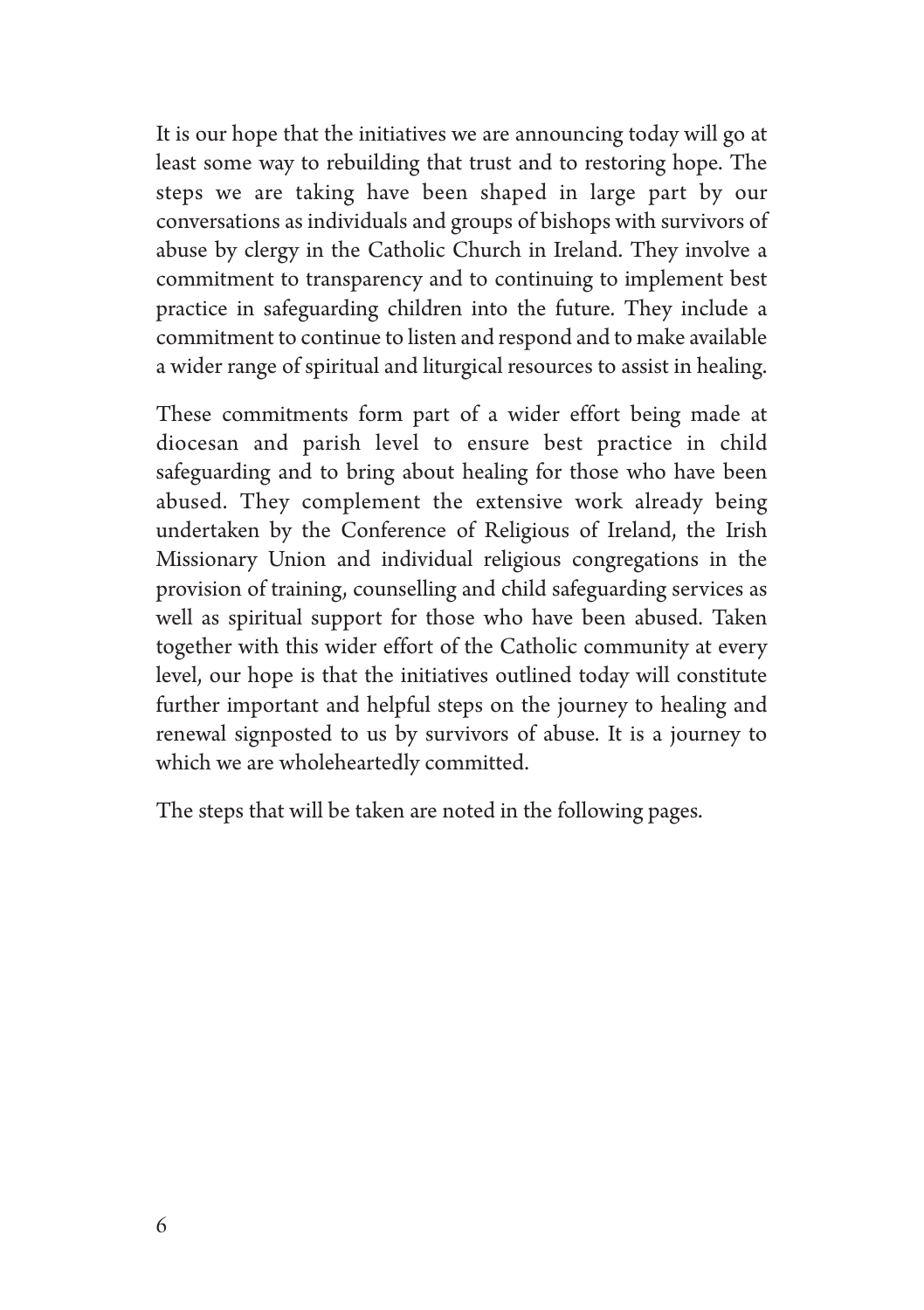It is our hope that the initiatives we are announcing today will go at least some way to rebuilding that trust and to restoring hope. The steps we are taking have been shaped in large part by our conversations as individuals and groups of bishops with survivors of abuse by clergy in the Catholic Church in Ireland. They involve a commitment to transparency and to continuing to implement best practice in safeguarding children into the future. They include a commitment to continue to listen and respond and to make available a wider range of spiritual and liturgical resources to assist in healing.

These commitments form part of a wider effort being made at diocesan and parish level to ensure best practice in child safeguarding and to bring about healing for those who have been abused. They complement the extensive work already being undertaken by the Conference of Religious of Ireland, the Irish Missionary Union and individual religious congregations in the provision of training, counselling and child safeguarding services as well as spiritual support for those who have been abused. Taken together with this wider effort of the Catholic community at every level, our hope is that the initiatives outlined today will constitute further important and helpful steps on the journey to healing and renewal signposted to us by survivors of abuse. It is a journey to which we are wholeheartedly committed.

The steps that will be taken are noted in the following pages.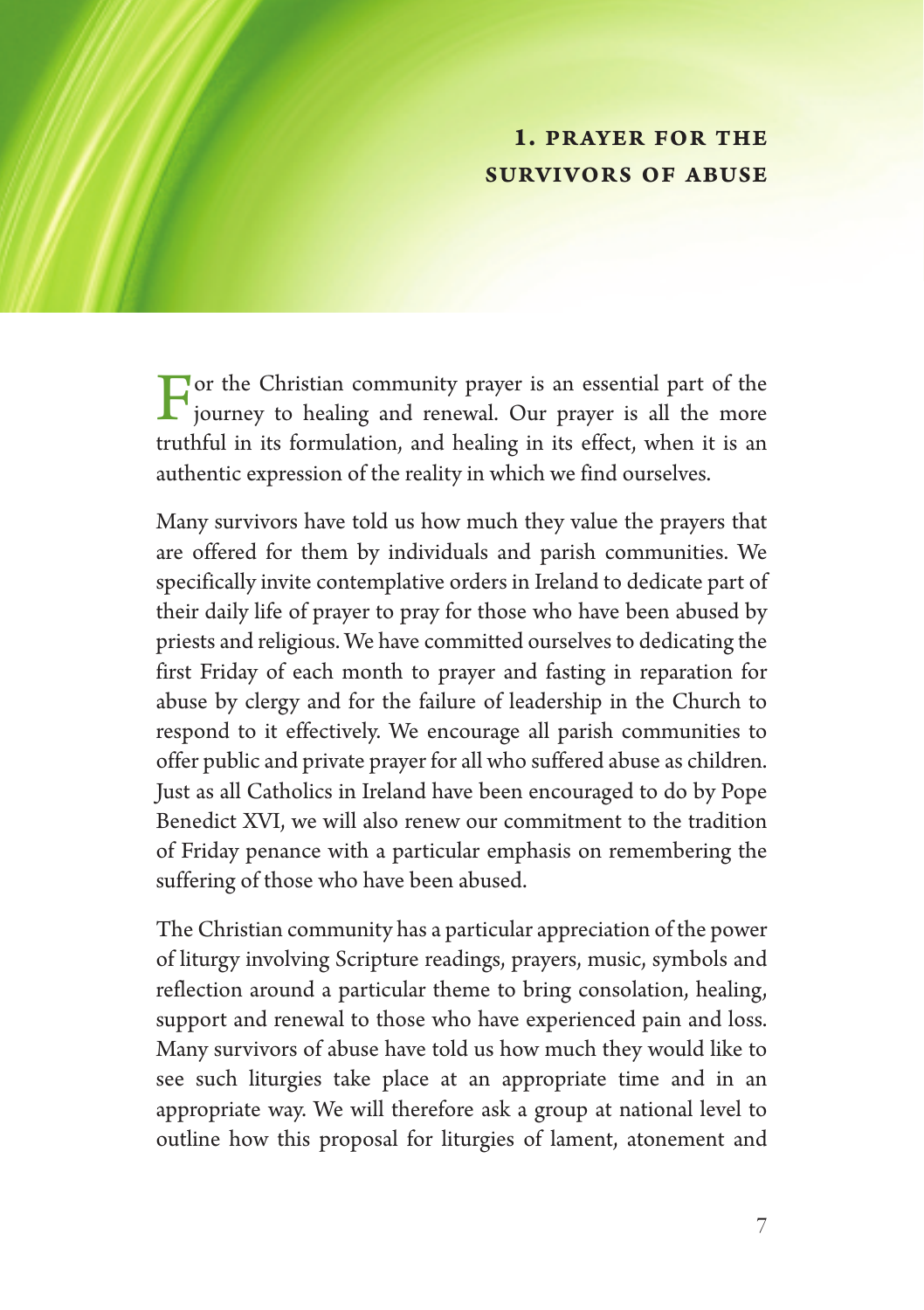#### **1. PRAYER FOR THE SURVIVORS OF ABUSE**

 $\Gamma$  or the Christian community prayer is an essential part of the iourney to beginn  $\sim$   $\frac{1}{2}$ journey to healing and renewal. Our prayer is all the more truthful in its formulation, and healing in its effect, when it is an authentic expression of the reality in which we find ourselves.

Many survivors have told us how much they value the prayers that are offered for them by individuals and parish communities. We specifically invite contemplative orders in Ireland to dedicate part of their daily life of prayer to pray for those who have been abused by priests and religious. We have committed ourselves to dedicating the first Friday of each month to prayer and fasting in reparation for abuse by clergy and for the failure of leadership in the Church to respond to it effectively. We encourage all parish communities to offer public and private prayer for all who suffered abuse as children. Just as all Catholics in Ireland have been encouraged to do by Pope Benedict XVI, we will also renew our commitment to the tradition of Friday penance with a particular emphasis on remembering the suffering of those who have been abused.

The Christian community has a particular appreciation of the power of liturgy involving Scripture readings, prayers, music, symbols and reflection around a particular theme to bring consolation, healing, support and renewal to those who have experienced pain and loss. Many survivors of abuse have told us how much they would like to see such liturgies take place at an appropriate time and in an appropriate way. We will therefore ask a group at national level to outline how this proposal for liturgies of lament, atonement and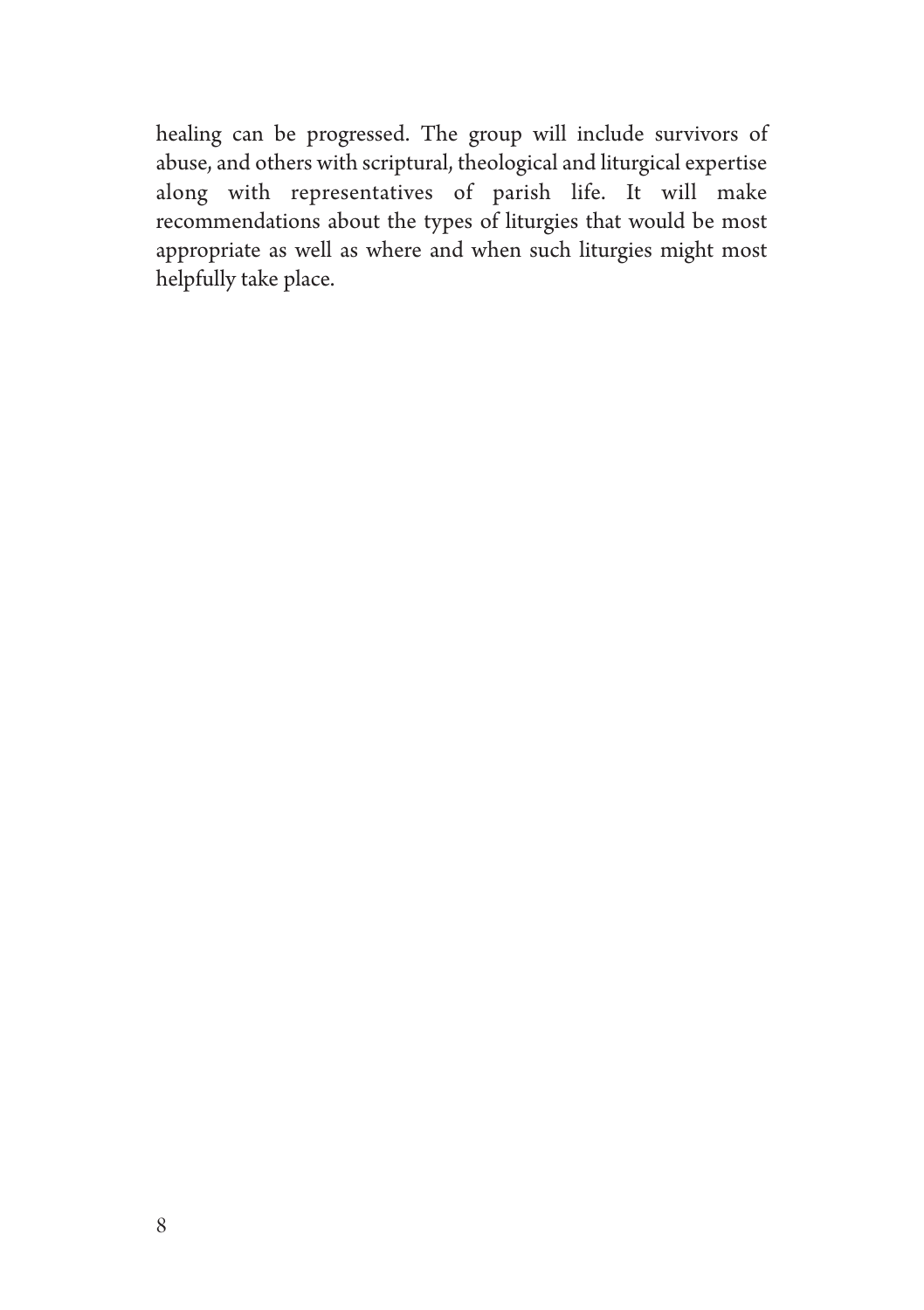healing can be progressed. The group will include survivors of abuse, and others with scriptural, theological and liturgical expertise along with representatives of parish life. It will make recommendations about the types of liturgies that would be most appropriate as well as where and when such liturgies might most helpfully take place.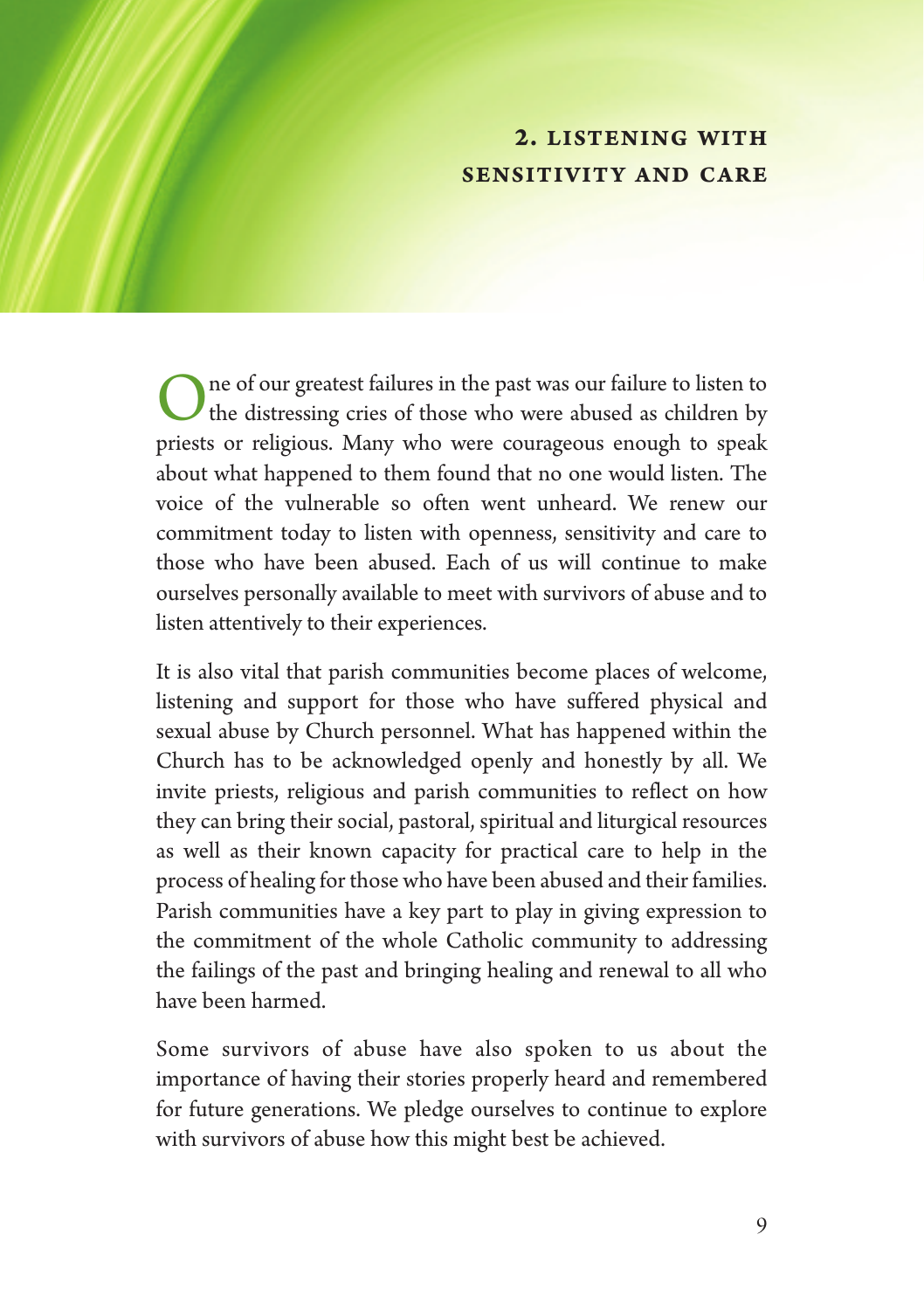#### **2. LISTENING WITH SENSITIVITY AND CARE**

ne of our greatest failures in the past was our failure to listen to the distressing cries of those who were abused as children by priests or religious. Many who were courageous enough to speak about what happened to them found that no one would listen. The voice of the vulnerable so often went unheard. We renew our commitment today to listen with openness, sensitivity and care to those who have been abused. Each of us will continue to make ourselves personally available to meet with survivors of abuse and to listen attentively to their experiences.

It is also vital that parish communities become places of welcome, listening and support for those who have suffered physical and sexual abuse by Church personnel. What has happened within the Church has to be acknowledged openly and honestly by all. We invite priests, religious and parish communities to reflect on how they can bring their social, pastoral, spiritual and liturgical resources as well as their known capacity for practical care to help in the process of healing for those who have been abused and their families. Parish communities have a key part to play in giving expression to the commitment of the whole Catholic community to addressing the failings of the past and bringing healing and renewal to all who have been harmed.

Some survivors of abuse have also spoken to us about the importance of having their stories properly heard and remembered for future generations. We pledge ourselves to continue to explore with survivors of abuse how this might best be achieved.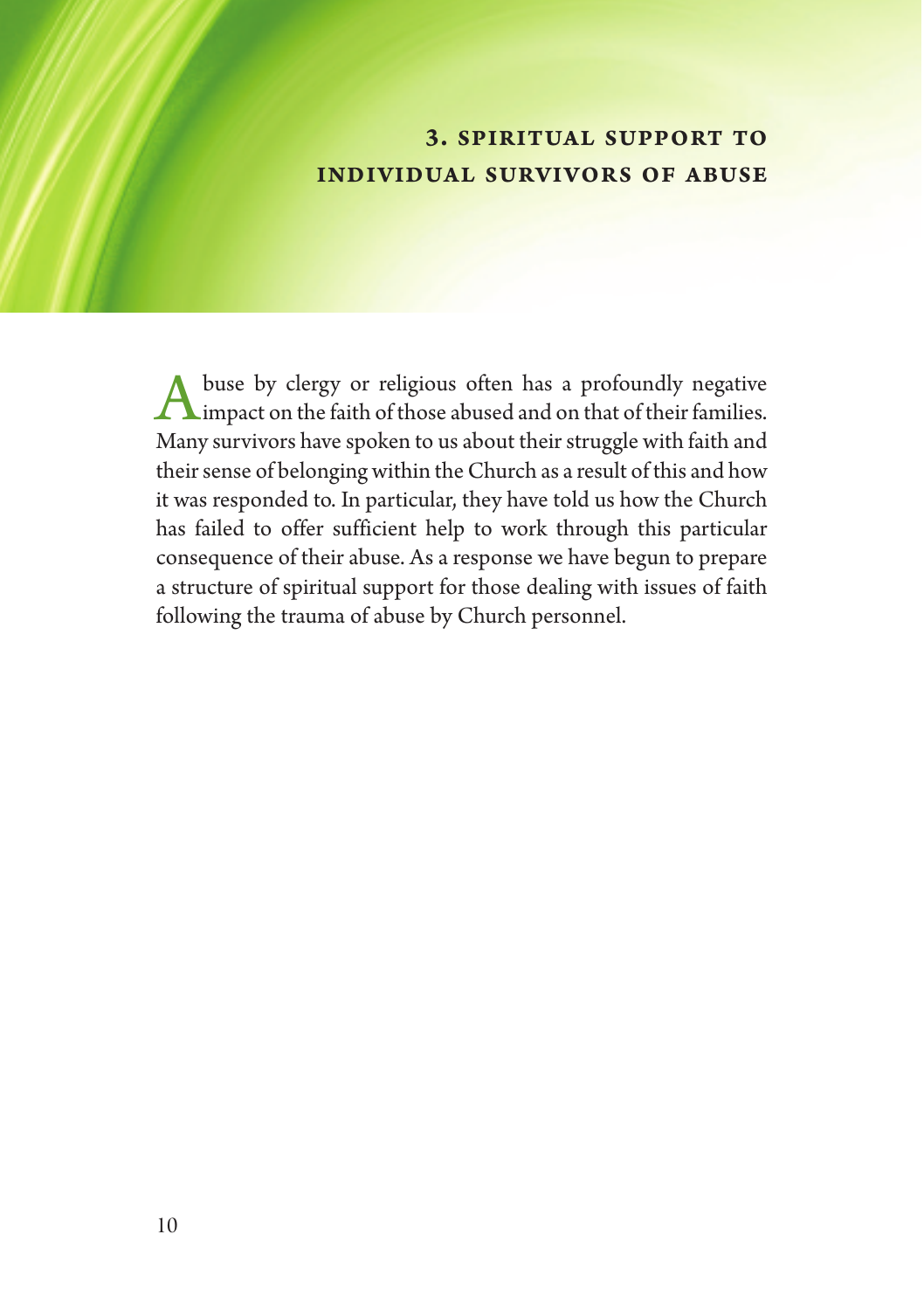#### **3. SPIRITUAL SUPPORT TO INDIVIDUAL SURVIVORS OF ABUSE**

buse by clergy or religious often has a profoundly negative A buse by clergy or religious often has a profoundly negative<br>
Mimpact on the faith of those abused and on that of their families. Many survivors have spoken to us about their struggle with faith and their sense of belonging within the Church as a result of this and how it was responded to. In particular, they have told us how the Church has failed to offer sufficient help to work through this particular consequence of their abuse. As a response we have begun to prepare a structure of spiritual support for those dealing with issues of faith following the trauma of abuse by Church personnel.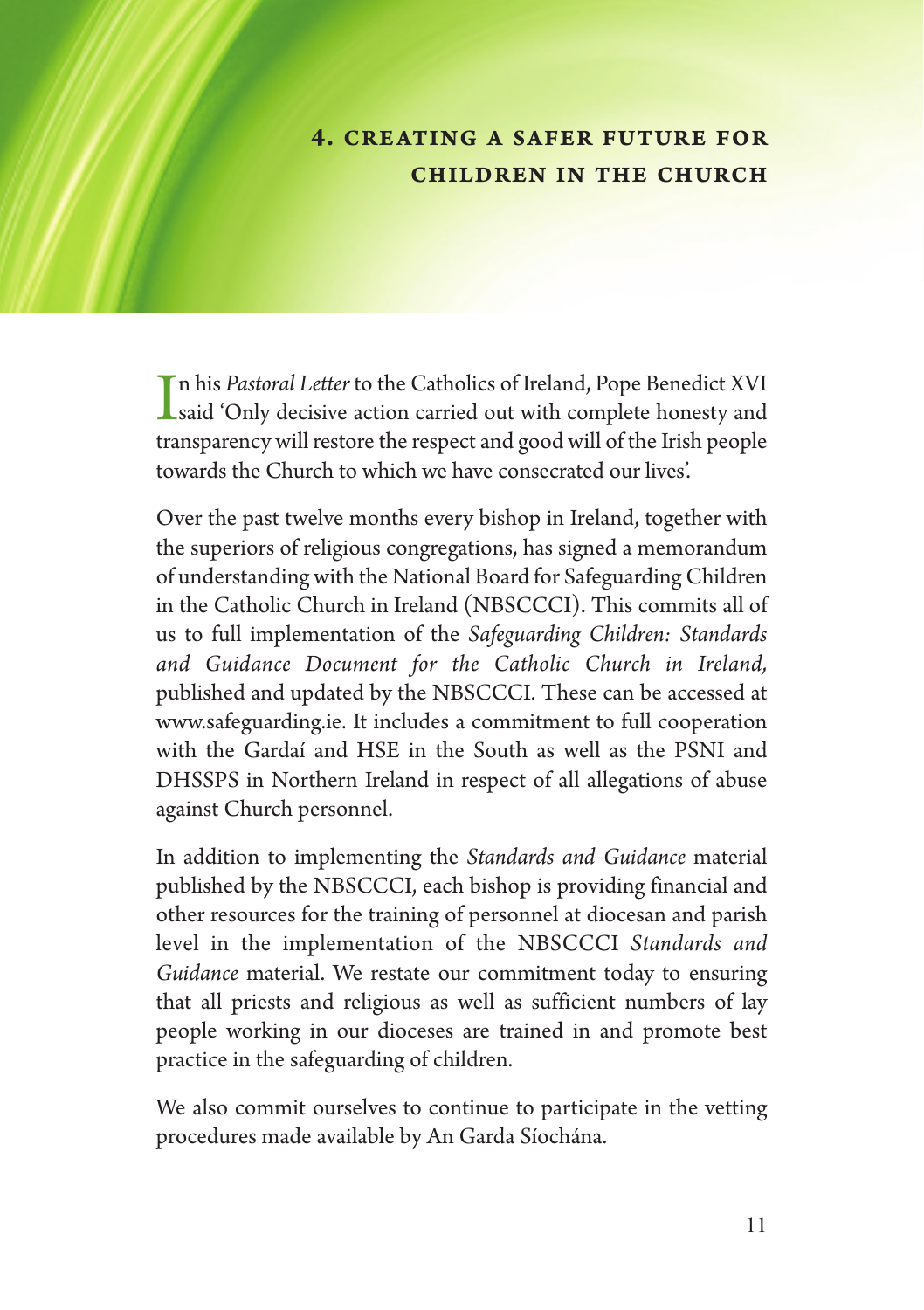### **4. CREATING A SAFER FUTURE FOR CHILDREN IN THE CHURCH**

In his *Pastoral Letter* to the Catholics of Ireland, Pope Benedict XVI<br>Said 'Only decisive action carried out with complete honesty and<br>the group are sill action the group to place desill of the Little group n his *Pastoral Letter* to the Catholics of Ireland, Pope Benedict XVI transparency will restore the respect and good will of the Irish people towards the Church to which we have consecrated our lives'.

Over the past twelve months every bishop in Ireland, together with the superiors of religious congregations, has signed a memorandum of understanding with the National Board for Safeguarding Children in the Catholic Church in Ireland (NBSCCCI). This commits all of us to full implementation of the *Safeguarding Children: Standards and Guidance Document for the Catholic Church in Ireland,* published and updated by the NBSCCCI. These can be accessed at www.safeguarding.ie. It includes a commitment to full cooperation with the Gardaí and HSE in the South as well as the PSNI and DHSSPS in Northern Ireland in respect of all allegations of abuse against Church personnel.

In addition to implementing the *Standards and Guidance* material published by the NBSCCCI, each bishop is providing financial and other resources for the training of personnel at diocesan and parish level in the implementation of the NBSCCCI *Standards and Guidance* material. We restate our commitment today to ensuring that all priests and religious as well as sufficient numbers of lay people working in our dioceses are trained in and promote best practice in the safeguarding of children.

We also commit ourselves to continue to participate in the vetting procedures made available by An Garda Síochána.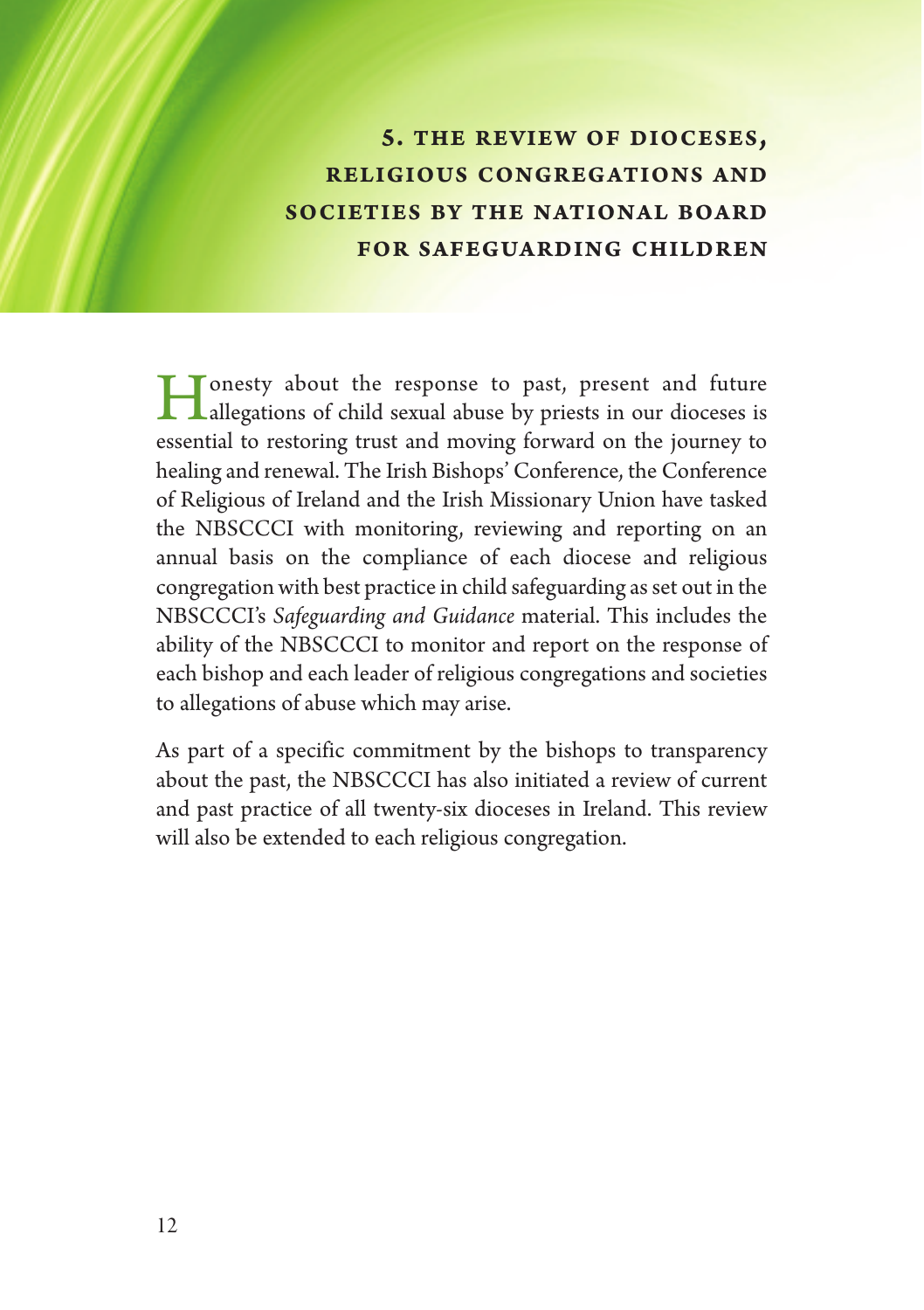**5. THE REVIEW OF DIOCESES, RELIGIOUS CONGREGATIONS AND SOCIETIES BY THE NATIONAL BOARD FOR SAFEGUARDING CHILDREN**

I consty about the response to past, present and future<br>allegations of child sexual abuse by priests in our dioceses is essential to restoring trust and moving forward on the journey to healing and renewal. The Irish Bishops' Conference, the Conference of Religious of Ireland and the Irish Missionary Union have tasked the NBSCCCI with monitoring, reviewing and reporting on an annual basis on the compliance of each diocese and religious congregation with best practice in child safeguarding as set out in the NBSCCCI's *Safeguarding and Guidance* material. This includes the ability of the NBSCCCI to monitor and report on the response of each bishop and each leader of religious congregations and societies to allegations of abuse which may arise.

As part of a specific commitment by the bishops to transparency about the past, the NBSCCCI has also initiated a review of current and past practice of all twenty-six dioceses in Ireland. This review will also be extended to each religious congregation.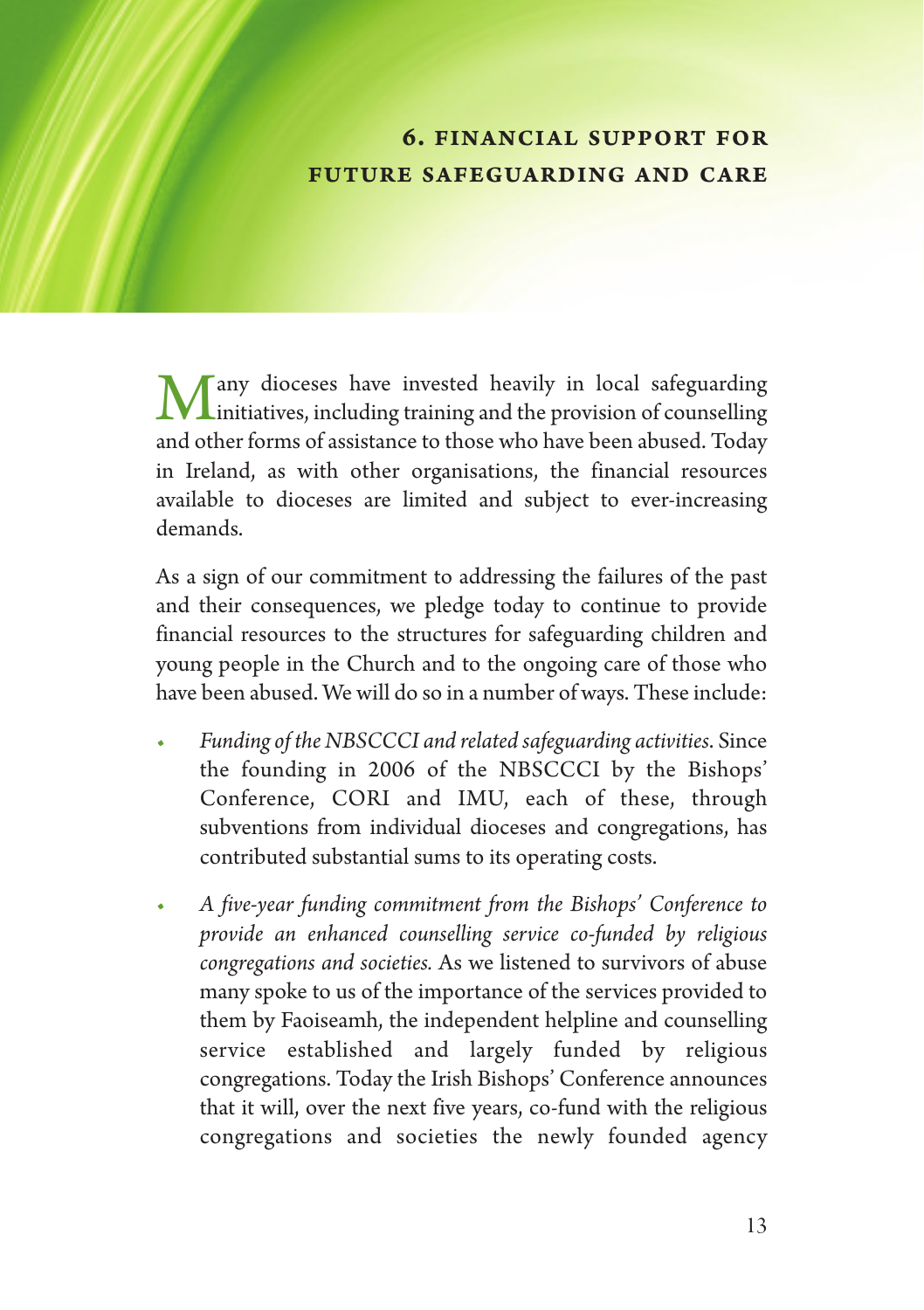### **6. FINANCIAL SUPPORT FOR FUTURE SAFEGUARDING AND CARE**

Many dioceses have invested heavily in local safeguarding<br>initiatives, including training and the provision of counselling<br>and therefore a feasible set the set of a local local developed. To den and other forms of assistance to those who have been abused. Today in Ireland, as with other organisations, the financial resources available to dioceses are limited and subject to ever-increasing demands.

As a sign of our commitment to addressing the failures of the past and their consequences, we pledge today to continue to provide financial resources to the structures for safeguarding children and young people in the Church and to the ongoing care of those who have been abused. We will do so in a number of ways. These include:

- *• Funding of the NBSCCCI and related safeguarding activities*. Since the founding in 2006 of the NBSCCCI by the Bishops' Conference, CORI and IMU, each of these, through subventions from individual dioceses and congregations, has contributed substantial sums to its operating costs.
- *• A five-year funding commitment from the Bishops' Conference to provide an enhanced counselling service co-funded by religious congregations and societies.* As we listened to survivors of abuse many spoke to us of the importance of the services provided to them by Faoiseamh, the independent helpline and counselling service established and largely funded by religious congregations. Today the Irish Bishops' Conference announces that it will, over the next five years, co-fund with the religious congregations and societies the newly founded agency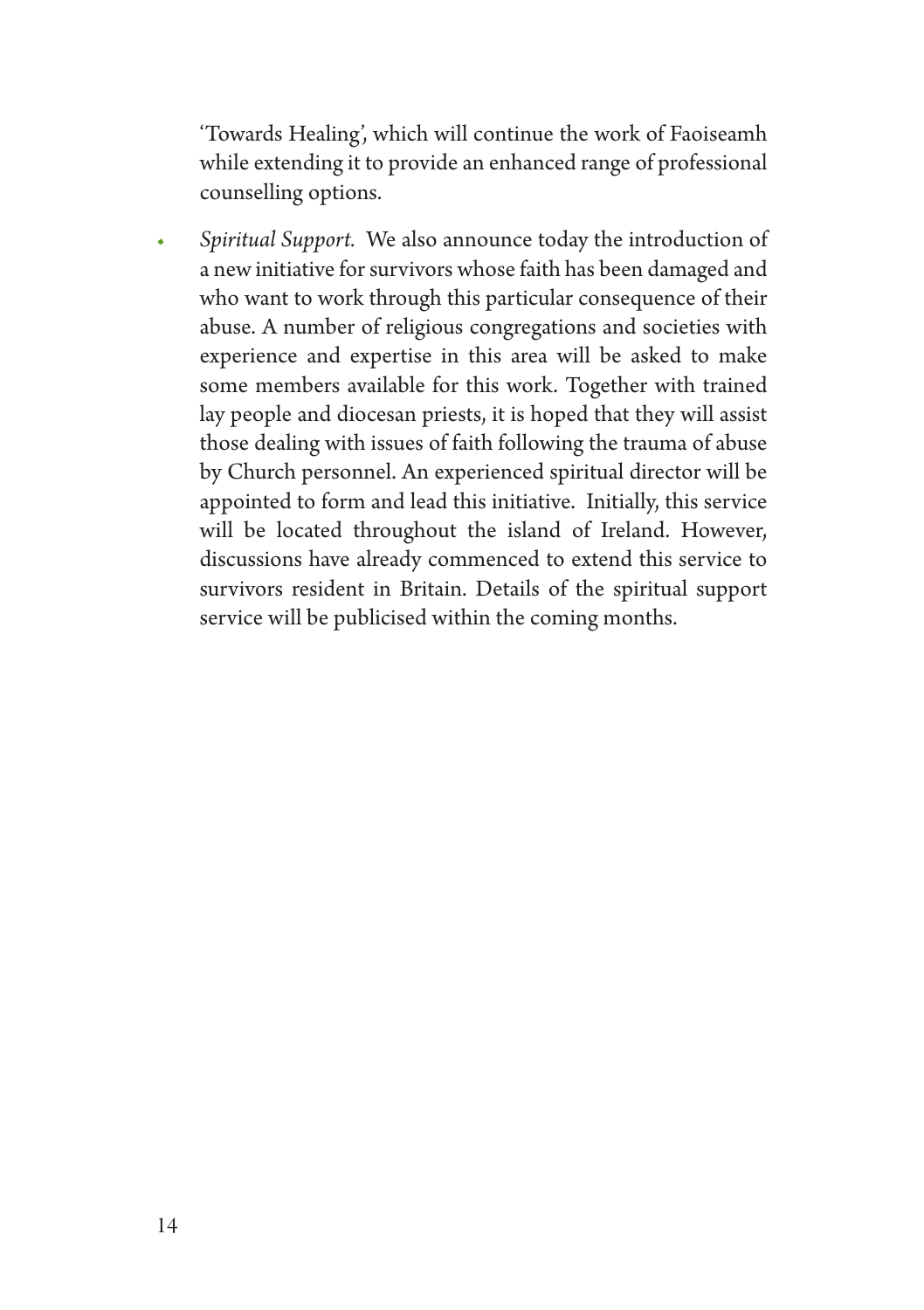'Towards Healing', which will continue the work of Faoiseamh while extending it to provide an enhanced range of professional counselling options.

*• Spiritual Support.* We also announce today the introduction of a new initiative for survivors whose faith has been damaged and who want to work through this particular consequence of their abuse. A number of religious congregations and societies with experience and expertise in this area will be asked to make some members available for this work. Together with trained lay people and diocesan priests, it is hoped that they will assist those dealing with issues of faith following the trauma of abuse by Church personnel. An experienced spiritual director will be appointed to form and lead this initiative. Initially, this service will be located throughout the island of Ireland. However, discussions have already commenced to extend this service to survivors resident in Britain. Details of the spiritual support service will be publicised within the coming months.